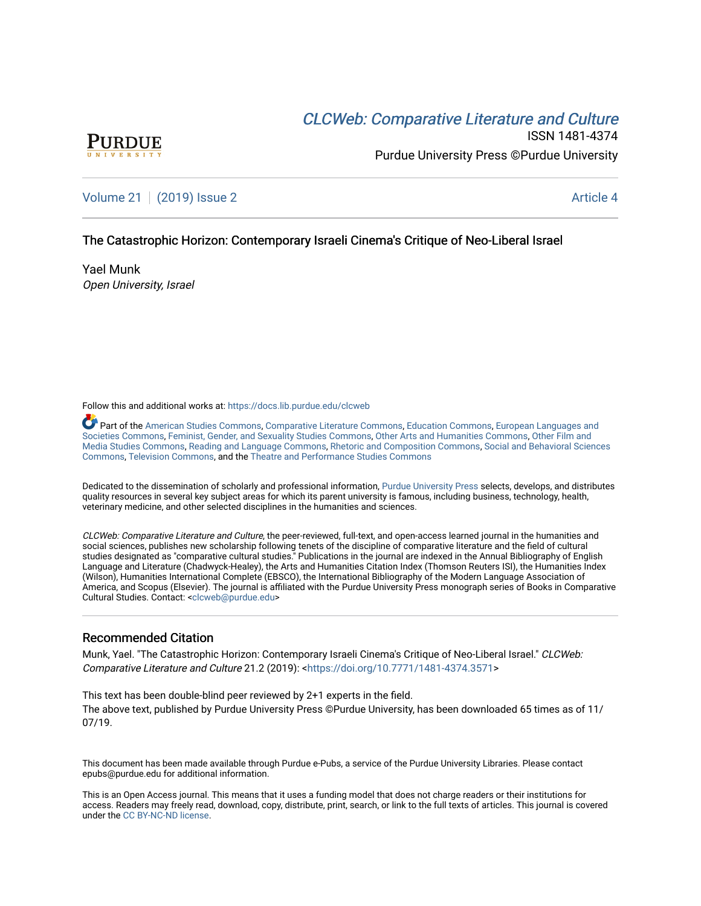# **CLCW[eb: Comparative Liter](https://docs.lib.purdue.edu/clcweb)ature and Culture**



ISSN 1481-4374 Purdue University Press ©Purdue University

# [Volume 21](https://docs.lib.purdue.edu/clcweb/vol21) | [\(2019\) Issue 2](https://docs.lib.purdue.edu/clcweb/vol21/iss2) Article 4

# The Catastrophic Horizon: Contemporary Israeli Cinema's Critique of Neo-Liberal Israel

Yael Munk Open University, Israel

Follow this and additional works at: [https://docs.lib.purdue.edu/clcweb](https://docs.lib.purdue.edu/clcweb?utm_source=docs.lib.purdue.edu%2Fclcweb%2Fvol21%2Fiss2%2F4&utm_medium=PDF&utm_campaign=PDFCoverPages)

Part of the [American Studies Commons](http://network.bepress.com/hgg/discipline/439?utm_source=docs.lib.purdue.edu%2Fclcweb%2Fvol21%2Fiss2%2F4&utm_medium=PDF&utm_campaign=PDFCoverPages), [Comparative Literature Commons,](http://network.bepress.com/hgg/discipline/454?utm_source=docs.lib.purdue.edu%2Fclcweb%2Fvol21%2Fiss2%2F4&utm_medium=PDF&utm_campaign=PDFCoverPages) [Education Commons,](http://network.bepress.com/hgg/discipline/784?utm_source=docs.lib.purdue.edu%2Fclcweb%2Fvol21%2Fiss2%2F4&utm_medium=PDF&utm_campaign=PDFCoverPages) [European Languages and](http://network.bepress.com/hgg/discipline/482?utm_source=docs.lib.purdue.edu%2Fclcweb%2Fvol21%2Fiss2%2F4&utm_medium=PDF&utm_campaign=PDFCoverPages) [Societies Commons](http://network.bepress.com/hgg/discipline/482?utm_source=docs.lib.purdue.edu%2Fclcweb%2Fvol21%2Fiss2%2F4&utm_medium=PDF&utm_campaign=PDFCoverPages), [Feminist, Gender, and Sexuality Studies Commons,](http://network.bepress.com/hgg/discipline/559?utm_source=docs.lib.purdue.edu%2Fclcweb%2Fvol21%2Fiss2%2F4&utm_medium=PDF&utm_campaign=PDFCoverPages) [Other Arts and Humanities Commons](http://network.bepress.com/hgg/discipline/577?utm_source=docs.lib.purdue.edu%2Fclcweb%2Fvol21%2Fiss2%2F4&utm_medium=PDF&utm_campaign=PDFCoverPages), [Other Film and](http://network.bepress.com/hgg/discipline/565?utm_source=docs.lib.purdue.edu%2Fclcweb%2Fvol21%2Fiss2%2F4&utm_medium=PDF&utm_campaign=PDFCoverPages)  [Media Studies Commons](http://network.bepress.com/hgg/discipline/565?utm_source=docs.lib.purdue.edu%2Fclcweb%2Fvol21%2Fiss2%2F4&utm_medium=PDF&utm_campaign=PDFCoverPages), [Reading and Language Commons](http://network.bepress.com/hgg/discipline/1037?utm_source=docs.lib.purdue.edu%2Fclcweb%2Fvol21%2Fiss2%2F4&utm_medium=PDF&utm_campaign=PDFCoverPages), [Rhetoric and Composition Commons,](http://network.bepress.com/hgg/discipline/573?utm_source=docs.lib.purdue.edu%2Fclcweb%2Fvol21%2Fiss2%2F4&utm_medium=PDF&utm_campaign=PDFCoverPages) [Social and Behavioral Sciences](http://network.bepress.com/hgg/discipline/316?utm_source=docs.lib.purdue.edu%2Fclcweb%2Fvol21%2Fiss2%2F4&utm_medium=PDF&utm_campaign=PDFCoverPages) [Commons,](http://network.bepress.com/hgg/discipline/316?utm_source=docs.lib.purdue.edu%2Fclcweb%2Fvol21%2Fiss2%2F4&utm_medium=PDF&utm_campaign=PDFCoverPages) [Television Commons,](http://network.bepress.com/hgg/discipline/1143?utm_source=docs.lib.purdue.edu%2Fclcweb%2Fvol21%2Fiss2%2F4&utm_medium=PDF&utm_campaign=PDFCoverPages) and the [Theatre and Performance Studies Commons](http://network.bepress.com/hgg/discipline/552?utm_source=docs.lib.purdue.edu%2Fclcweb%2Fvol21%2Fiss2%2F4&utm_medium=PDF&utm_campaign=PDFCoverPages)

Dedicated to the dissemination of scholarly and professional information, [Purdue University Press](http://www.thepress.purdue.edu/) selects, develops, and distributes quality resources in several key subject areas for which its parent university is famous, including business, technology, health, veterinary medicine, and other selected disciplines in the humanities and sciences.

CLCWeb: Comparative Literature and Culture, the peer-reviewed, full-text, and open-access learned journal in the humanities and social sciences, publishes new scholarship following tenets of the discipline of comparative literature and the field of cultural studies designated as "comparative cultural studies." Publications in the journal are indexed in the Annual Bibliography of English Language and Literature (Chadwyck-Healey), the Arts and Humanities Citation Index (Thomson Reuters ISI), the Humanities Index (Wilson), Humanities International Complete (EBSCO), the International Bibliography of the Modern Language Association of America, and Scopus (Elsevier). The journal is affiliated with the Purdue University Press monograph series of Books in Comparative Cultural Studies. Contact: [<clcweb@purdue.edu](mailto:clcweb@purdue.edu)>

# Recommended Citation

Munk, Yael. "The Catastrophic Horizon: Contemporary Israeli Cinema's Critique of Neo-Liberal Israel." CLCWeb: Comparative Literature and Culture 21.2 (2019): <<https://doi.org/10.7771/1481-4374.3571>>

This text has been double-blind peer reviewed by 2+1 experts in the field. The above text, published by Purdue University Press ©Purdue University, has been downloaded 65 times as of 11/ 07/19.

This document has been made available through Purdue e-Pubs, a service of the Purdue University Libraries. Please contact epubs@purdue.edu for additional information.

This is an Open Access journal. This means that it uses a funding model that does not charge readers or their institutions for access. Readers may freely read, download, copy, distribute, print, search, or link to the full texts of articles. This journal is covered under the [CC BY-NC-ND license.](https://creativecommons.org/licenses/by-nc-nd/4.0/)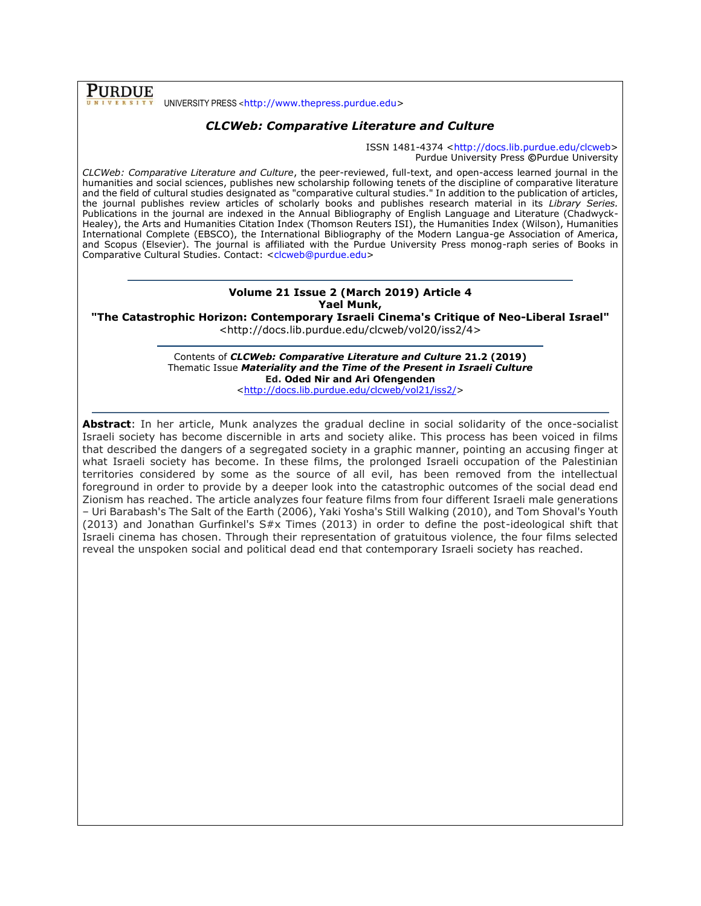**PURDUE** UNIVERSITY PRESS <[http://www.thepress.purdue.edu>](http://www.thepress.purdue.edu/)

# *CLCWeb: Comparative Literature and Culture*

ISSN 1481-4374 [<http://docs.lib.purdue.edu/clcweb>](http://docs.lib.purdue.edu/clcweb) Purdue University Press **©**Purdue University

*CLCWeb: Comparative Literature and Culture*, the peer-reviewed, full-text, and open-access learned journal in the humanities and social sciences, publishes new scholarship following tenets of the discipline of comparative literature and the field of cultural studies designated as "comparative cultural studies." In addition to the publication of articles, the journal publishes review articles of scholarly books and publishes research material in its *Library Series.*  Publications in the journal are indexed in the Annual Bibliography of English Language and Literature (Chadwyck-Healey), the Arts and Humanities Citation Index (Thomson Reuters ISI), the Humanities Index (Wilson), Humanities International Complete (EBSCO), the International Bibliography of the Modern Langua-ge Association of America, and Scopus (Elsevier). The journal is affiliated with the Purdue University Press monog-raph series of Books in Comparative Cultural Studies. Contact: [<clcweb@purdue.edu>](mailto:clcweb@purdue.edu)

#### **Volume 21 Issue 2 (March 2019) Article 4 Yael Munk,**

**"The Catastrophic Horizon: Contemporary Israeli Cinema's Critique of Neo-Liberal Israel"**

<http://docs.lib.purdue.edu/clcweb/vol20/iss2/4>

Contents of *CLCWeb: Comparative Literature and Culture* **21.2 (2019)** Thematic Issue *Materiality and the Time of the Present in Israeli Culture* **Ed. Oded Nir and Ari Ofengenden**

[<http://docs.lib.purdue.edu/clcweb/vol21/iss2/>](http://docs.lib.purdue.edu/clcweb/vol21/iss2/)

**Abstract**: In her article, Munk analyzes the gradual decline in social solidarity of the once-socialist Israeli society has become discernible in arts and society alike. This process has been voiced in films that described the dangers of a segregated society in a graphic manner, pointing an accusing finger at what Israeli society has become. In these films, the prolonged Israeli occupation of the Palestinian territories considered by some as the source of all evil, has been removed from the intellectual foreground in order to provide by a deeper look into the catastrophic outcomes of the social dead end Zionism has reached. The article analyzes four feature films from four different Israeli male generations – Uri Barabash's The Salt of the Earth (2006), Yaki Yosha's Still Walking (2010), and Tom Shoval's Youth (2013) and Jonathan Gurfinkel's S#x Times (2013) in order to define the post-ideological shift that Israeli cinema has chosen. Through their representation of gratuitous violence, the four films selected reveal the unspoken social and political dead end that contemporary Israeli society has reached.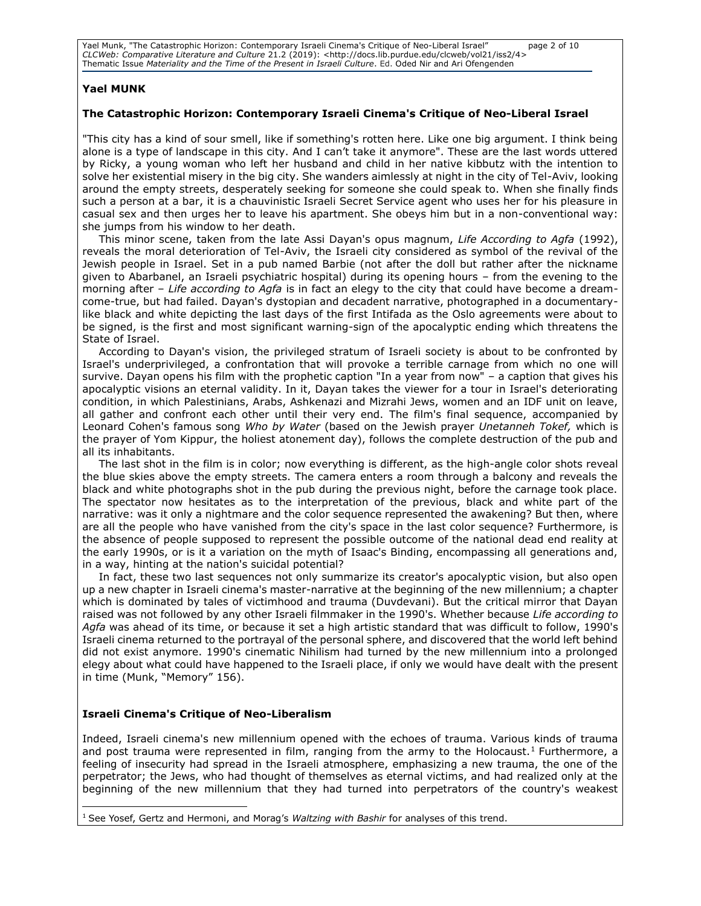Yael Munk, "The Catastrophic Horizon: Contemporary Israeli Cinema's Critique of Neo-Liberal Israel" page 2 of 10 *CLCWeb: Comparative Literature and Culture* 21.2 (2019): <http://docs.lib.purdue.edu/clcweb/vol21/iss2/4> Thematic Issue *Materiality and the Time of the Present in Israeli Culture*. Ed. Oded Nir and Ari Ofengenden

# **Yael MUNK**

### **The Catastrophic Horizon: Contemporary Israeli Cinema's Critique of Neo-Liberal Israel**

"This city has a kind of sour smell, like if something's rotten here. Like one big argument. I think being alone is a type of landscape in this city. And I can't take it anymore". These are the last words uttered by Ricky, a young woman who left her husband and child in her native kibbutz with the intention to solve her existential misery in the big city. She wanders aimlessly at night in the city of Tel-Aviv, looking around the empty streets, desperately seeking for someone she could speak to. When she finally finds such a person at a bar, it is a chauvinistic Israeli Secret Service agent who uses her for his pleasure in casual sex and then urges her to leave his apartment. She obeys him but in a non-conventional way: she jumps from his window to her death.

This minor scene, taken from the late Assi Dayan's opus magnum, *Life According to Agfa* (1992), reveals the moral deterioration of Tel-Aviv, the Israeli city considered as symbol of the revival of the Jewish people in Israel. Set in a pub named Barbie (not after the doll but rather after the nickname given to Abarbanel, an Israeli psychiatric hospital) during its opening hours – from the evening to the morning after – *Life according to Agfa* is in fact an elegy to the city that could have become a dreamcome-true, but had failed. Dayan's dystopian and decadent narrative, photographed in a documentarylike black and white depicting the last days of the first Intifada as the Oslo agreements were about to be signed, is the first and most significant warning-sign of the apocalyptic ending which threatens the State of Israel.

According to Dayan's vision, the privileged stratum of Israeli society is about to be confronted by Israel's underprivileged, a confrontation that will provoke a terrible carnage from which no one will survive. Dayan opens his film with the prophetic caption "In a year from now" – a caption that gives his apocalyptic visions an eternal validity. In it, Dayan takes the viewer for a tour in Israel's deteriorating condition, in which Palestinians, Arabs, Ashkenazi and Mizrahi Jews, women and an IDF unit on leave, all gather and confront each other until their very end. The film's final sequence, accompanied by Leonard Cohen's famous song *Who by Water* (based on the Jewish prayer *Unetanneh Tokef,* which is the prayer of Yom Kippur, the holiest atonement day), follows the complete destruction of the pub and all its inhabitants.

The last shot in the film is in color; now everything is different, as the high-angle color shots reveal the blue skies above the empty streets. The camera enters a room through a balcony and reveals the black and white photographs shot in the pub during the previous night, before the carnage took place. The spectator now hesitates as to the interpretation of the previous, black and white part of the narrative: was it only a nightmare and the color sequence represented the awakening? But then, where are all the people who have vanished from the city's space in the last color sequence? Furthermore, is the absence of people supposed to represent the possible outcome of the national dead end reality at the early 1990s, or is it a variation on the myth of Isaac's Binding, encompassing all generations and, in a way, hinting at the nation's suicidal potential?

In fact, these two last sequences not only summarize its creator's apocalyptic vision, but also open up a new chapter in Israeli cinema's master-narrative at the beginning of the new millennium; a chapter which is dominated by tales of victimhood and trauma (Duvdevani). But the critical mirror that Dayan raised was not followed by any other Israeli filmmaker in the 1990's. Whether because *Life according to Agfa* was ahead of its time, or because it set a high artistic standard that was difficult to follow, 1990's Israeli cinema returned to the portrayal of the personal sphere, and discovered that the world left behind did not exist anymore. 1990's cinematic Nihilism had turned by the new millennium into a prolonged elegy about what could have happened to the Israeli place, if only we would have dealt with the present in time (Munk, "Memory" 156).

## **Israeli Cinema's Critique of Neo-Liberalism**

Indeed, Israeli cinema's new millennium opened with the echoes of trauma. Various kinds of trauma and post trauma were represented in film, ranging from the army to the Holocaust.<sup>1</sup> Furthermore, a feeling of insecurity had spread in the Israeli atmosphere, emphasizing a new trauma, the one of the perpetrator; the Jews, who had thought of themselves as eternal victims, and had realized only at the beginning of the new millennium that they had turned into perpetrators of the country's weakest

 $\overline{a}$ <sup>1</sup> See Yosef, Gertz and Hermoni, and Morag's *Waltzing with Bashir* for analyses of this trend.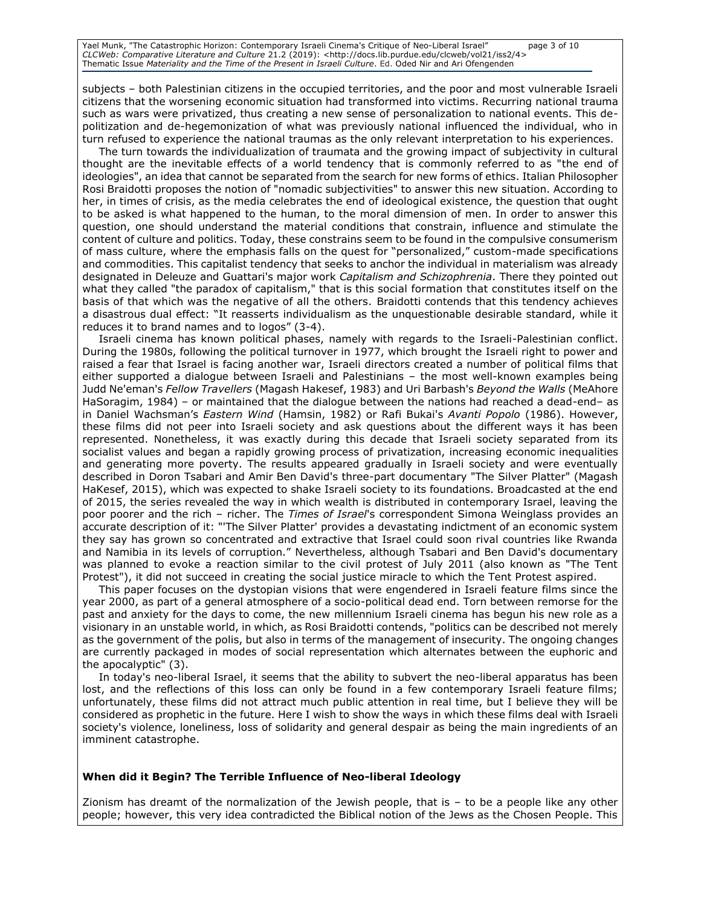Yael Munk, "The Catastrophic Horizon: Contemporary Israeli Cinema's Critique of Neo-Liberal Israel" page 3 of 10 *CLCWeb: Comparative Literature and Culture* 21.2 (2019): <http://docs.lib.purdue.edu/clcweb/vol21/iss2/4> Thematic Issue *Materiality and the Time of the Present in Israeli Culture*. Ed. Oded Nir and Ari Ofengenden

subjects – both Palestinian citizens in the occupied territories, and the poor and most vulnerable Israeli citizens that the worsening economic situation had transformed into victims. Recurring national trauma such as wars were privatized, thus creating a new sense of personalization to national events. This depolitization and de-hegemonization of what was previously national influenced the individual, who in turn refused to experience the national traumas as the only relevant interpretation to his experiences.

The turn towards the individualization of traumata and the growing impact of subjectivity in cultural thought are the inevitable effects of a world tendency that is commonly referred to as "the end of ideologies", an idea that cannot be separated from the search for new forms of ethics. Italian Philosopher Rosi Braidotti proposes the notion of "nomadic subjectivities" to answer this new situation. According to her, in times of crisis, as the media celebrates the end of ideological existence, the question that ought to be asked is what happened to the human, to the moral dimension of men. In order to answer this question, one should understand the material conditions that constrain, influence and stimulate the content of culture and politics. Today, these constrains seem to be found in the compulsive consumerism of mass culture, where the emphasis falls on the quest for "personalized," custom-made specifications and commodities. This capitalist tendency that seeks to anchor the individual in materialism was already designated in Deleuze and Guattari's major work *Capitalism and Schizophrenia*. There they pointed out what they called "the paradox of capitalism," that is this social formation that constitutes itself on the basis of that which was the negative of all the others. Braidotti contends that this tendency achieves a disastrous dual effect: "It reasserts individualism as the unquestionable desirable standard, while it reduces it to brand names and to logos" (3-4).

Israeli cinema has known political phases, namely with regards to the Israeli-Palestinian conflict. During the 1980s, following the political turnover in 1977, which brought the Israeli right to power and raised a fear that Israel is facing another war, Israeli directors created a number of political films that either supported a dialogue between Israeli and Palestinians – the most well-known examples being Judd Ne'eman's *Fellow Travellers* (Magash Hakesef, 1983) and Uri Barbash's *Beyond the Walls* (MeAhore HaSoragim, 1984) – or maintained that the dialogue between the nations had reached a dead-end– as in Daniel Wachsman's *Eastern Wind* (Hamsin, 1982) or Rafi Bukai's *Avanti Popolo* (1986). However, these films did not peer into Israeli society and ask questions about the different ways it has been represented. Nonetheless, it was exactly during this decade that Israeli society separated from its socialist values and began a rapidly growing process of privatization, increasing economic inequalities and generating more poverty. The results appeared gradually in Israeli society and were eventually described in Doron Tsabari and Amir Ben David's three-part documentary "The Silver Platter" (Magash HaKesef, 2015), which was expected to shake Israeli society to its foundations. Broadcasted at the end of 2015, the series revealed the way in which wealth is distributed in contemporary Israel, leaving the poor poorer and the rich – richer. The *Times of Israel*'s correspondent Simona Weinglass provides an accurate description of it: "'The Silver Platter' provides a devastating indictment of an economic system they say has grown so concentrated and extractive that Israel could soon rival countries like Rwanda and Namibia in its levels of corruption." Nevertheless, although Tsabari and Ben David's documentary was planned to evoke a reaction similar to the civil protest of July 2011 (also known as "The Tent Protest"), it did not succeed in creating the social justice miracle to which the Tent Protest aspired.

This paper focuses on the dystopian visions that were engendered in Israeli feature films since the year 2000, as part of a general atmosphere of a socio-political dead end. Torn between remorse for the past and anxiety for the days to come, the new millennium Israeli cinema has begun his new role as a visionary in an unstable world, in which, as Rosi Braidotti contends, "politics can be described not merely as the government of the polis, but also in terms of the management of insecurity. The ongoing changes are currently packaged in modes of social representation which alternates between the euphoric and the apocalyptic" (3).

In today's neo-liberal Israel, it seems that the ability to subvert the neo-liberal apparatus has been lost, and the reflections of this loss can only be found in a few contemporary Israeli feature films; unfortunately, these films did not attract much public attention in real time, but I believe they will be considered as prophetic in the future. Here I wish to show the ways in which these films deal with Israeli society's violence, loneliness, loss of solidarity and general despair as being the main ingredients of an imminent catastrophe.

## **When did it Begin? The Terrible Influence of Neo-liberal Ideology**

Zionism has dreamt of the normalization of the Jewish people, that is – to be a people like any other people; however, this very idea contradicted the Biblical notion of the Jews as the Chosen People. This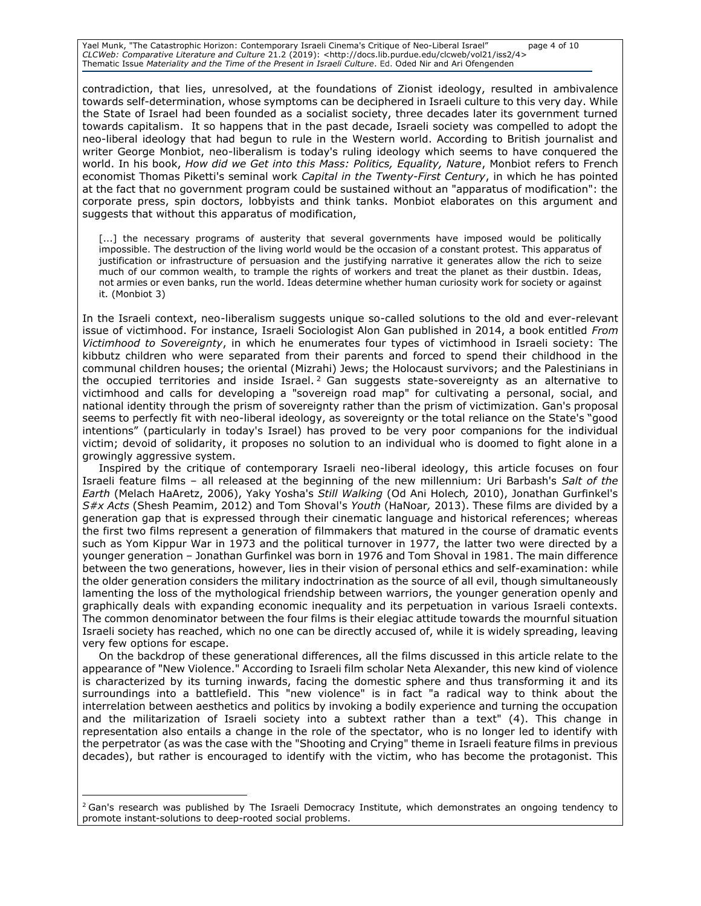Yael Munk, "The Catastrophic Horizon: Contemporary Israeli Cinema's Critique of Neo-Liberal Israel" page 4 of 10 *CLCWeb: Comparative Literature and Culture* 21.2 (2019): <http://docs.lib.purdue.edu/clcweb/vol21/iss2/4> Thematic Issue *Materiality and the Time of the Present in Israeli Culture*. Ed. Oded Nir and Ari Ofengenden

contradiction, that lies, unresolved, at the foundations of Zionist ideology, resulted in ambivalence towards self-determination, whose symptoms can be deciphered in Israeli culture to this very day. While the State of Israel had been founded as a socialist society, three decades later its government turned towards capitalism. It so happens that in the past decade, Israeli society was compelled to adopt the neo-liberal ideology that had begun to rule in the Western world. According to British journalist and writer George Monbiot, neo-liberalism is today's ruling ideology which seems to have conquered the world. In his book, *How did we Get into this Mass: Politics, Equality, Nature*, Monbiot refers to French economist Thomas Piketti's seminal work *Capital in the Twenty-First Century*, in which he has pointed at the fact that no government program could be sustained without an "apparatus of modification": the corporate press, spin doctors, lobbyists and think tanks. Monbiot elaborates on this argument and suggests that without this apparatus of modification,

[...] the necessary programs of austerity that several governments have imposed would be politically impossible. The destruction of the living world would be the occasion of a constant protest. This apparatus of justification or infrastructure of persuasion and the justifying narrative it generates allow the rich to seize much of our common wealth, to trample the rights of workers and treat the planet as their dustbin. Ideas, not armies or even banks, run the world. Ideas determine whether human curiosity work for society or against it. (Monbiot 3)

In the Israeli context, neo-liberalism suggests unique so-called solutions to the old and ever-relevant issue of victimhood. For instance, Israeli Sociologist Alon Gan published in 2014, a book entitled *From Victimhood to Sovereignty*, in which he enumerates four types of victimhood in Israeli society: The kibbutz children who were separated from their parents and forced to spend their childhood in the communal children houses; the oriental (Mizrahi) Jews; the Holocaust survivors; and the Palestinians in the occupied territories and inside Israel.<sup>2</sup> Gan suggests state-sovereignty as an alternative to victimhood and calls for developing a "sovereign road map" for cultivating a personal, social, and national identity through the prism of sovereignty rather than the prism of victimization. Gan's proposal seems to perfectly fit with neo-liberal ideology, as sovereignty or the total reliance on the State's "good intentions" (particularly in today's Israel) has proved to be very poor companions for the individual victim; devoid of solidarity, it proposes no solution to an individual who is doomed to fight alone in a growingly aggressive system.

Inspired by the critique of contemporary Israeli neo-liberal ideology, this article focuses on four Israeli feature films – all released at the beginning of the new millennium: Uri Barbash's *Salt of the Earth* (Melach HaAretz, 2006), Yaky Yosha's *Still Walking* (Od Ani Holech*,* 2010), Jonathan Gurfinkel's *S#x Acts* (Shesh Peamim, 2012) and Tom Shoval's *Youth* (HaNoar*,* 2013). These films are divided by a generation gap that is expressed through their cinematic language and historical references; whereas the first two films represent a generation of filmmakers that matured in the course of dramatic events such as Yom Kippur War in 1973 and the political turnover in 1977, the latter two were directed by a younger generation – Jonathan Gurfinkel was born in 1976 and Tom Shoval in 1981. The main difference between the two generations, however, lies in their vision of personal ethics and self-examination: while the older generation considers the military indoctrination as the source of all evil, though simultaneously lamenting the loss of the mythological friendship between warriors, the younger generation openly and graphically deals with expanding economic inequality and its perpetuation in various Israeli contexts. The common denominator between the four films is their elegiac attitude towards the mournful situation Israeli society has reached, which no one can be directly accused of, while it is widely spreading, leaving very few options for escape.

On the backdrop of these generational differences, all the films discussed in this article relate to the appearance of "New Violence." According to Israeli film scholar Neta Alexander, this new kind of violence is characterized by its turning inwards, facing the domestic sphere and thus transforming it and its surroundings into a battlefield. This "new violence" is in fact "a radical way to think about the interrelation between aesthetics and politics by invoking a bodily experience and turning the occupation and the militarization of Israeli society into a subtext rather than a text" (4). This change in representation also entails a change in the role of the spectator, who is no longer led to identify with the perpetrator (as was the case with the "Shooting and Crying" theme in Israeli feature films in previous decades), but rather is encouraged to identify with the victim, who has become the protagonist. This

 $\overline{a}$ 

<sup>&</sup>lt;sup>2</sup> Gan's research was published by The Israeli Democracy Institute, which demonstrates an ongoing tendency to promote instant-solutions to deep-rooted social problems.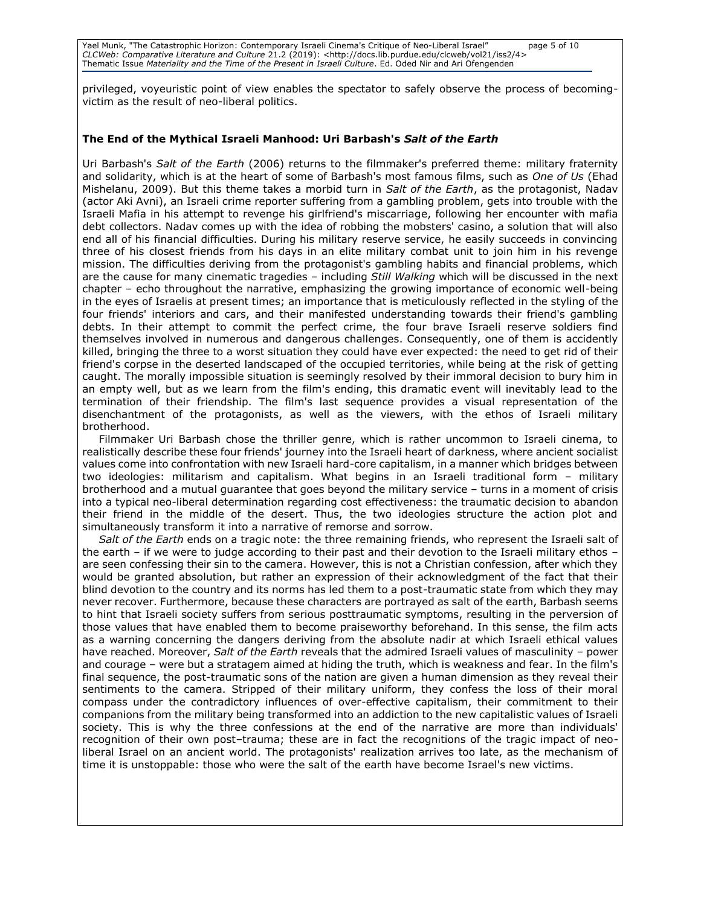Yael Munk, "The Catastrophic Horizon: Contemporary Israeli Cinema's Critique of Neo-Liberal Israel" page 5 of 10 *CLCWeb: Comparative Literature and Culture* 21.2 (2019): <http://docs.lib.purdue.edu/clcweb/vol21/iss2/4> Thematic Issue *Materiality and the Time of the Present in Israeli Culture*. Ed. Oded Nir and Ari Ofengenden

privileged, voyeuristic point of view enables the spectator to safely observe the process of becomingvictim as the result of neo-liberal politics.

## **The End of the Mythical Israeli Manhood: Uri Barbash's** *Salt of the Earth*

Uri Barbash's *Salt of the Earth* (2006) returns to the filmmaker's preferred theme: military fraternity and solidarity, which is at the heart of some of Barbash's most famous films, such as *One of Us* (Ehad Mishelanu, 2009). But this theme takes a morbid turn in *Salt of the Earth*, as the protagonist, Nadav (actor Aki Avni), an Israeli crime reporter suffering from a gambling problem, gets into trouble with the Israeli Mafia in his attempt to revenge his girlfriend's miscarriage, following her encounter with mafia debt collectors. Nadav comes up with the idea of robbing the mobsters' casino, a solution that will also end all of his financial difficulties. During his military reserve service, he easily succeeds in convincing three of his closest friends from his days in an elite military combat unit to join him in his revenge mission. The difficulties deriving from the protagonist's gambling habits and financial problems, which are the cause for many cinematic tragedies – including *Still Walking* which will be discussed in the next chapter – echo throughout the narrative, emphasizing the growing importance of economic well-being in the eyes of Israelis at present times; an importance that is meticulously reflected in the styling of the four friends' interiors and cars, and their manifested understanding towards their friend's gambling debts. In their attempt to commit the perfect crime, the four brave Israeli reserve soldiers find themselves involved in numerous and dangerous challenges. Consequently, one of them is accidently killed, bringing the three to a worst situation they could have ever expected: the need to get rid of their friend's corpse in the deserted landscaped of the occupied territories, while being at the risk of getting caught. The morally impossible situation is seemingly resolved by their immoral decision to bury him in an empty well, but as we learn from the film's ending, this dramatic event will inevitably lead to the termination of their friendship. The film's last sequence provides a visual representation of the disenchantment of the protagonists, as well as the viewers, with the ethos of Israeli military brotherhood.

Filmmaker Uri Barbash chose the thriller genre, which is rather uncommon to Israeli cinema, to realistically describe these four friends' journey into the Israeli heart of darkness, where ancient socialist values come into confrontation with new Israeli hard-core capitalism, in a manner which bridges between two ideologies: militarism and capitalism. What begins in an Israeli traditional form – military brotherhood and a mutual guarantee that goes beyond the military service – turns in a moment of crisis into a typical neo-liberal determination regarding cost effectiveness: the traumatic decision to abandon their friend in the middle of the desert. Thus, the two ideologies structure the action plot and simultaneously transform it into a narrative of remorse and sorrow.

*Salt of the Earth* ends on a tragic note: the three remaining friends, who represent the Israeli salt of the earth – if we were to judge according to their past and their devotion to the Israeli military ethos – are seen confessing their sin to the camera. However, this is not a Christian confession, after which they would be granted absolution, but rather an expression of their acknowledgment of the fact that their blind devotion to the country and its norms has led them to a post-traumatic state from which they may never recover. Furthermore, because these characters are portrayed as salt of the earth, Barbash seems to hint that Israeli society suffers from serious posttraumatic symptoms, resulting in the perversion of those values that have enabled them to become praiseworthy beforehand. In this sense, the film acts as a warning concerning the dangers deriving from the absolute nadir at which Israeli ethical values have reached. Moreover, *Salt of the Earth* reveals that the admired Israeli values of masculinity – power and courage – were but a stratagem aimed at hiding the truth, which is weakness and fear. In the film's final sequence, the post-traumatic sons of the nation are given a human dimension as they reveal their sentiments to the camera. Stripped of their military uniform, they confess the loss of their moral compass under the contradictory influences of over-effective capitalism, their commitment to their companions from the military being transformed into an addiction to the new capitalistic values of Israeli society. This is why the three confessions at the end of the narrative are more than individuals' recognition of their own post–trauma; these are in fact the recognitions of the tragic impact of neoliberal Israel on an ancient world. The protagonists' realization arrives too late, as the mechanism of time it is unstoppable: those who were the salt of the earth have become Israel's new victims.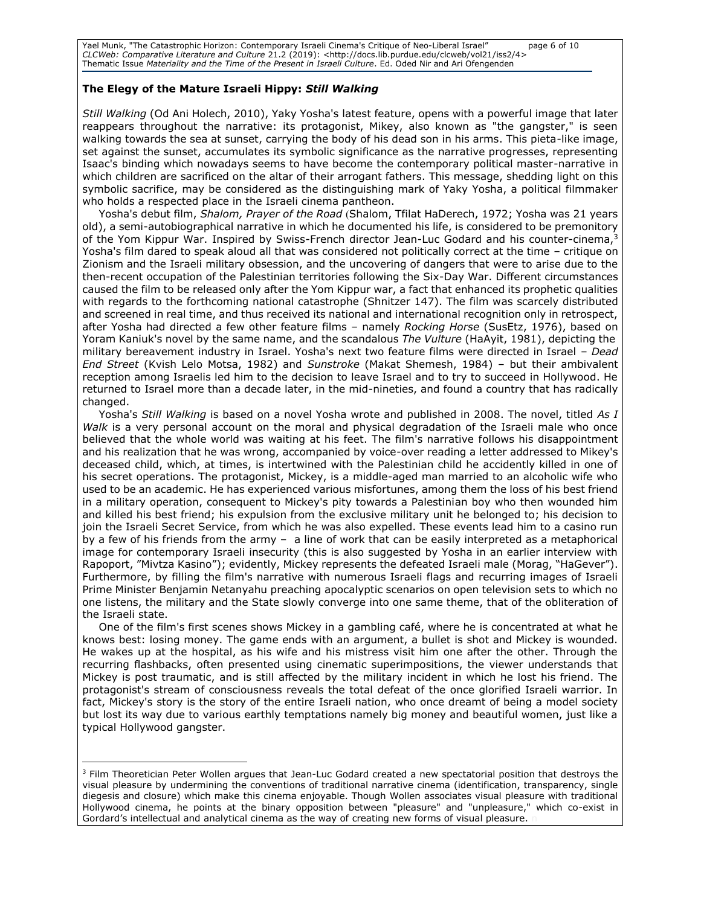Yael Munk, "The Catastrophic Horizon: Contemporary Israeli Cinema's Critique of Neo-Liberal Israel" page 6 of 10 *CLCWeb: Comparative Literature and Culture* 21.2 (2019): <http://docs.lib.purdue.edu/clcweb/vol21/iss2/4> Thematic Issue *Materiality and the Time of the Present in Israeli Culture*. Ed. Oded Nir and Ari Ofengenden

## **The Elegy of the Mature Israeli Hippy:** *Still Walking*

*Still Walking* (Od Ani Holech, 2010), Yaky Yosha's latest feature, opens with a powerful image that later reappears throughout the narrative: its protagonist, Mikey, also known as "the gangster," is seen walking towards the sea at sunset, carrying the body of his dead son in his arms. This pieta-like image, set against the sunset, accumulates its symbolic significance as the narrative progresses, representing Isaac's binding which nowadays seems to have become the contemporary political master-narrative in which children are sacrificed on the altar of their arrogant fathers. This message, shedding light on this symbolic sacrifice, may be considered as the distinguishing mark of Yaky Yosha, a political filmmaker who holds a respected place in the Israeli cinema pantheon.

Yosha's debut film, *Shalom, Prayer of the Road* (Shalom, Tfilat HaDerech, 1972; Yosha was 21 years old), a semi-autobiographical narrative in which he documented his life, is considered to be premonitory of the Yom Kippur War. Inspired by Swiss-French director Jean-Luc Godard and his counter-cinema,<sup>3</sup> Yosha's film dared to speak aloud all that was considered not politically correct at the time – critique on Zionism and the Israeli military obsession, and the uncovering of dangers that were to arise due to the then-recent occupation of the Palestinian territories following the Six-Day War. Different circumstances caused the film to be released only after the Yom Kippur war, a fact that enhanced its prophetic qualities with regards to the forthcoming national catastrophe (Shnitzer 147). The film was scarcely distributed and screened in real time, and thus received its national and international recognition only in retrospect, after Yosha had directed a few other feature films – namely *Rocking Horse* (SusEtz, 1976), based on Yoram Kaniuk's novel by the same name, and the scandalous *The Vulture* (HaAyit, 1981), depicting the military bereavement industry in Israel. Yosha's next two feature films were directed in Israel – *Dead End Street* (Kvish Lelo Motsa, 1982) and *Sunstroke* (Makat Shemesh, 1984) – but their ambivalent reception among Israelis led him to the decision to leave Israel and to try to succeed in Hollywood. He returned to Israel more than a decade later, in the mid-nineties, and found a country that has radically changed.

Yosha's *Still Walking* is based on a novel Yosha wrote and published in 2008. The novel, titled *As I Walk* is a very personal account on the moral and physical degradation of the Israeli male who once believed that the whole world was waiting at his feet. The film's narrative follows his disappointment and his realization that he was wrong, accompanied by voice-over reading a letter addressed to Mikey's deceased child, which, at times, is intertwined with the Palestinian child he accidently killed in one of his secret operations. The protagonist, Mickey, is a middle-aged man married to an alcoholic wife who used to be an academic. He has experienced various misfortunes, among them the loss of his best friend in a military operation, consequent to Mickey's pity towards a Palestinian boy who then wounded him and killed his best friend; his expulsion from the exclusive military unit he belonged to; his decision to join the Israeli Secret Service, from which he was also expelled. These events lead him to a casino run by a few of his friends from the army – a line of work that can be easily interpreted as a metaphorical image for contemporary Israeli insecurity (this is also suggested by Yosha in an earlier interview with Rapoport, "Mivtza Kasino"); evidently, Mickey represents the defeated Israeli male (Morag, "HaGever"). Furthermore, by filling the film's narrative with numerous Israeli flags and recurring images of Israeli Prime Minister Benjamin Netanyahu preaching apocalyptic scenarios on open television sets to which no one listens, the military and the State slowly converge into one same theme, that of the obliteration of the Israeli state.

One of the film's first scenes shows Mickey in a gambling café, where he is concentrated at what he knows best: losing money. The game ends with an argument, a bullet is shot and Mickey is wounded. He wakes up at the hospital, as his wife and his mistress visit him one after the other. Through the recurring flashbacks, often presented using cinematic superimpositions, the viewer understands that Mickey is post traumatic, and is still affected by the military incident in which he lost his friend. The protagonist's stream of consciousness reveals the total defeat of the once glorified Israeli warrior. In fact, Mickey's story is the story of the entire Israeli nation, who once dreamt of being a model society but lost its way due to various earthly temptations namely big money and beautiful women, just like a typical Hollywood gangster.

 $\overline{a}$ <sup>3</sup> Film Theoretician Peter Wollen argues that Jean-Luc Godard created a new spectatorial position that destroys the visual pleasure by undermining the conventions of traditional narrative cinema (identification, transparency, single diegesis and closure) which make this cinema enjoyable. Though Wollen associates visual pleasure with traditional Hollywood cinema, he points at the binary opposition between "pleasure" and "unpleasure," which co-exist in Gordard's intellectual and analytical cinema as the way of creating new forms of visual pleasure.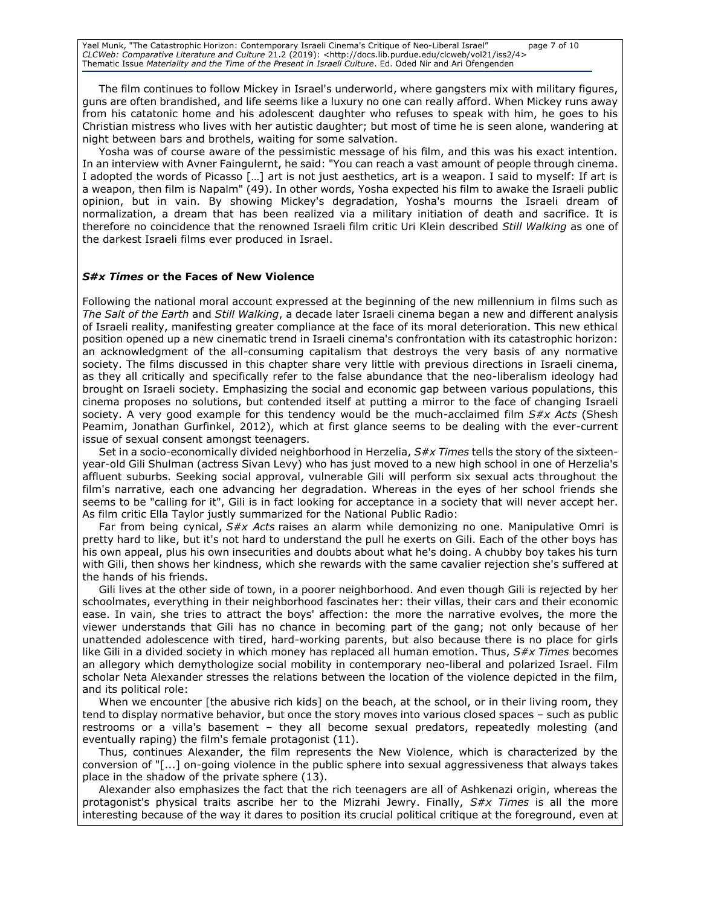Yael Munk, "The Catastrophic Horizon: Contemporary Israeli Cinema's Critique of Neo-Liberal Israel" page 7 of 10 *CLCWeb: Comparative Literature and Culture* 21.2 (2019): <http://docs.lib.purdue.edu/clcweb/vol21/iss2/4> Thematic Issue *Materiality and the Time of the Present in Israeli Culture*. Ed. Oded Nir and Ari Ofengenden

The film continues to follow Mickey in Israel's underworld, where gangsters mix with military figures, guns are often brandished, and life seems like a luxury no one can really afford. When Mickey runs away from his catatonic home and his adolescent daughter who refuses to speak with him, he goes to his Christian mistress who lives with her autistic daughter; but most of time he is seen alone, wandering at night between bars and brothels, waiting for some salvation.

Yosha was of course aware of the pessimistic message of his film, and this was his exact intention. In an interview with Avner Faingulernt, he said: "You can reach a vast amount of people through cinema. I adopted the words of Picasso […] art is not just aesthetics, art is a weapon. I said to myself: If art is a weapon, then film is Napalm" (49). In other words, Yosha expected his film to awake the Israeli public opinion, but in vain. By showing Mickey's degradation, Yosha's mourns the Israeli dream of normalization, a dream that has been realized via a military initiation of death and sacrifice. It is therefore no coincidence that the renowned Israeli film critic Uri Klein described *Still Walking* as one of the darkest Israeli films ever produced in Israel.

#### *S#x Times* **or the Faces of New Violence**

Following the national moral account expressed at the beginning of the new millennium in films such as *The Salt of the Earth* and *Still Walking*, a decade later Israeli cinema began a new and different analysis of Israeli reality, manifesting greater compliance at the face of its moral deterioration. This new ethical position opened up a new cinematic trend in Israeli cinema's confrontation with its catastrophic horizon: an acknowledgment of the all-consuming capitalism that destroys the very basis of any normative society. The films discussed in this chapter share very little with previous directions in Israeli cinema, as they all critically and specifically refer to the false abundance that the neo-liberalism ideology had brought on Israeli society. Emphasizing the social and economic gap between various populations, this cinema proposes no solutions, but contended itself at putting a mirror to the face of changing Israeli society. A very good example for this tendency would be the much-acclaimed film *S#x Acts* (Shesh Peamim, Jonathan Gurfinkel, 2012), which at first glance seems to be dealing with the ever-current issue of sexual consent amongst teenagers.

Set in a socio-economically divided neighborhood in Herzelia, *S#x Times* tells the story of the sixteenyear-old Gili Shulman (actress Sivan Levy) who has just moved to a new high school in one of Herzelia's affluent suburbs. Seeking social approval, vulnerable Gili will perform six sexual acts throughout the film's narrative, each one advancing her degradation. Whereas in the eyes of her school friends she seems to be "calling for it", Gili is in fact looking for acceptance in a society that will never accept her. As film critic Ella Taylor justly summarized for the National Public Radio:

Far from being cynical, *S#x Acts* raises an alarm while demonizing no one. Manipulative Omri is pretty hard to like, but it's not hard to understand the pull he exerts on Gili. Each of the other boys has his own appeal, plus his own insecurities and doubts about what he's doing. A chubby boy takes his turn with Gili, then shows her kindness, which she rewards with the same cavalier rejection she's suffered at the hands of his friends.

Gili lives at the other side of town, in a poorer neighborhood. And even though Gili is rejected by her schoolmates, everything in their neighborhood fascinates her: their villas, their cars and their economic ease. In vain, she tries to attract the boys' affection: the more the narrative evolves, the more the viewer understands that Gili has no chance in becoming part of the gang; not only because of her unattended adolescence with tired, hard-working parents, but also because there is no place for girls like Gili in a divided society in which money has replaced all human emotion. Thus, *S#x Times* becomes an allegory which demythologize social mobility in contemporary neo-liberal and polarized Israel. Film scholar Neta Alexander stresses the relations between the location of the violence depicted in the film, and its political role:

When we encounter [the abusive rich kids] on the beach, at the school, or in their living room, they tend to display normative behavior, but once the story moves into various closed spaces – such as public restrooms or a villa's basement – they all become sexual predators, repeatedly molesting (and eventually raping) the film's female protagonist (11).

Thus, continues Alexander, the film represents the New Violence, which is characterized by the conversion of "[...] on-going violence in the public sphere into sexual aggressiveness that always takes place in the shadow of the private sphere (13).

Alexander also emphasizes the fact that the rich teenagers are all of Ashkenazi origin, whereas the protagonist's physical traits ascribe her to the Mizrahi Jewry. Finally, *S#x Times* is all the more interesting because of the way it dares to position its crucial political critique at the foreground, even at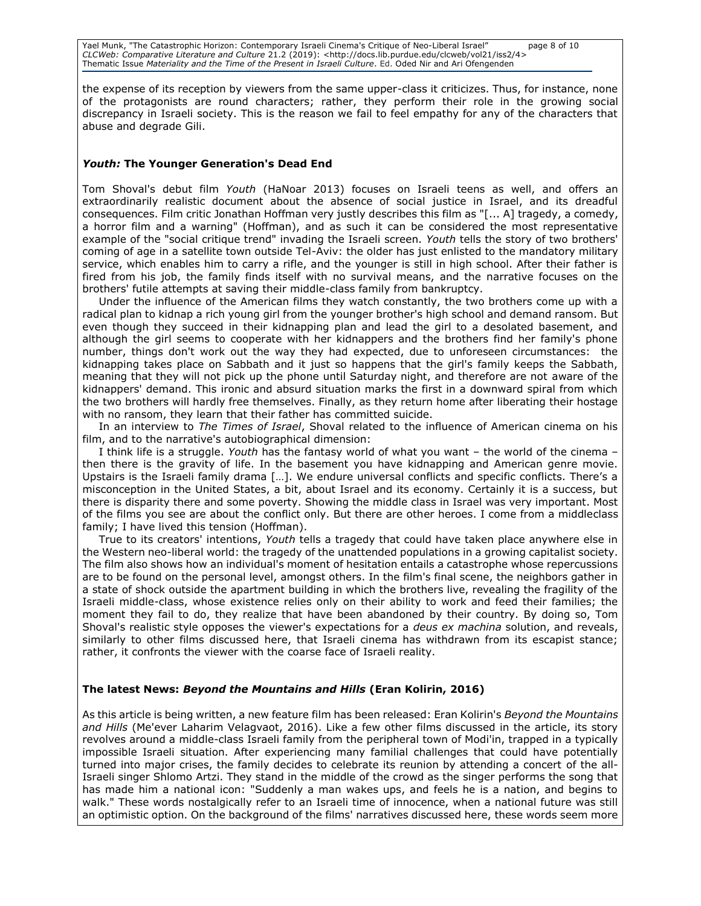Yael Munk, "The Catastrophic Horizon: Contemporary Israeli Cinema's Critique of Neo-Liberal Israel" page 8 of 10 *CLCWeb: Comparative Literature and Culture* 21.2 (2019): <http://docs.lib.purdue.edu/clcweb/vol21/iss2/4> Thematic Issue *Materiality and the Time of the Present in Israeli Culture*. Ed. Oded Nir and Ari Ofengenden

the expense of its reception by viewers from the same upper-class it criticizes. Thus, for instance, none of the protagonists are round characters; rather, they perform their role in the growing social discrepancy in Israeli society. This is the reason we fail to feel empathy for any of the characters that abuse and degrade Gili.

#### *Youth:* **The Younger Generation's Dead End**

Tom Shoval's debut film *Youth* (HaNoar 2013) focuses on Israeli teens as well, and offers an extraordinarily realistic document about the absence of social justice in Israel, and its dreadful consequences. Film critic Jonathan Hoffman very justly describes this film as "[... A] tragedy, a comedy, a horror film and a warning" (Hoffman), and as such it can be considered the most representative example of the "social critique trend" invading the Israeli screen. *Youth* tells the story of two brothers' coming of age in a satellite town outside Tel-Aviv: the older has just enlisted to the mandatory military service, which enables him to carry a rifle, and the younger is still in high school. After their father is fired from his job, the family finds itself with no survival means, and the narrative focuses on the brothers' futile attempts at saving their middle-class family from bankruptcy.

Under the influence of the American films they watch constantly, the two brothers come up with a radical plan to kidnap a rich young girl from the younger brother's high school and demand ransom. But even though they succeed in their kidnapping plan and lead the girl to a desolated basement, and although the girl seems to cooperate with her kidnappers and the brothers find her family's phone number, things don't work out the way they had expected, due to unforeseen circumstances: the kidnapping takes place on Sabbath and it just so happens that the girl's family keeps the Sabbath, meaning that they will not pick up the phone until Saturday night, and therefore are not aware of the kidnappers' demand. This ironic and absurd situation marks the first in a downward spiral from which the two brothers will hardly free themselves. Finally, as they return home after liberating their hostage with no ransom, they learn that their father has committed suicide.

In an interview to *The Times of Israel*, Shoval related to the influence of American cinema on his film, and to the narrative's autobiographical dimension:

I think life is a struggle. *Youth* has the fantasy world of what you want – the world of the cinema – then there is the gravity of life. In the basement you have kidnapping and American genre movie. Upstairs is the Israeli family drama […]. We endure universal conflicts and specific conflicts. There's a misconception in the United States, a bit, about Israel and its economy. Certainly it is a success, but there is disparity there and some poverty. Showing the middle class in Israel was very important. Most of the films you see are about the conflict only. But there are other heroes. I come from a middleclass family; I have lived this tension (Hoffman).

True to its creators' intentions, *Youth* tells a tragedy that could have taken place anywhere else in the Western neo-liberal world: the tragedy of the unattended populations in a growing capitalist society. The film also shows how an individual's moment of hesitation entails a catastrophe whose repercussions are to be found on the personal level, amongst others. In the film's final scene, the neighbors gather in a state of shock outside the apartment building in which the brothers live, revealing the fragility of the Israeli middle-class, whose existence relies only on their ability to work and feed their families; the moment they fail to do, they realize that have been abandoned by their country. By doing so, Tom Shoval's realistic style opposes the viewer's expectations for a *deus ex machina* solution, and reveals, similarly to other films discussed here, that Israeli cinema has withdrawn from its escapist stance; rather, it confronts the viewer with the coarse face of Israeli reality.

#### **The latest News:** *Beyond the Mountains and Hills* **(Eran Kolirin, 2016)**

As this article is being written, a new feature film has been released: Eran Kolirin's *Beyond the Mountains and Hills* (Me'ever Laharim Velagvaot, 2016). Like a few other films discussed in the article, its story revolves around a middle-class Israeli family from the peripheral town of Modi'in, trapped in a typically impossible Israeli situation. After experiencing many familial challenges that could have potentially turned into major crises, the family decides to celebrate its reunion by attending a concert of the all-Israeli singer Shlomo Artzi. They stand in the middle of the crowd as the singer performs the song that has made him a national icon: "Suddenly a man wakes ups, and feels he is a nation, and begins to walk." These words nostalgically refer to an Israeli time of innocence, when a national future was still an optimistic option. On the background of the films' narratives discussed here, these words seem more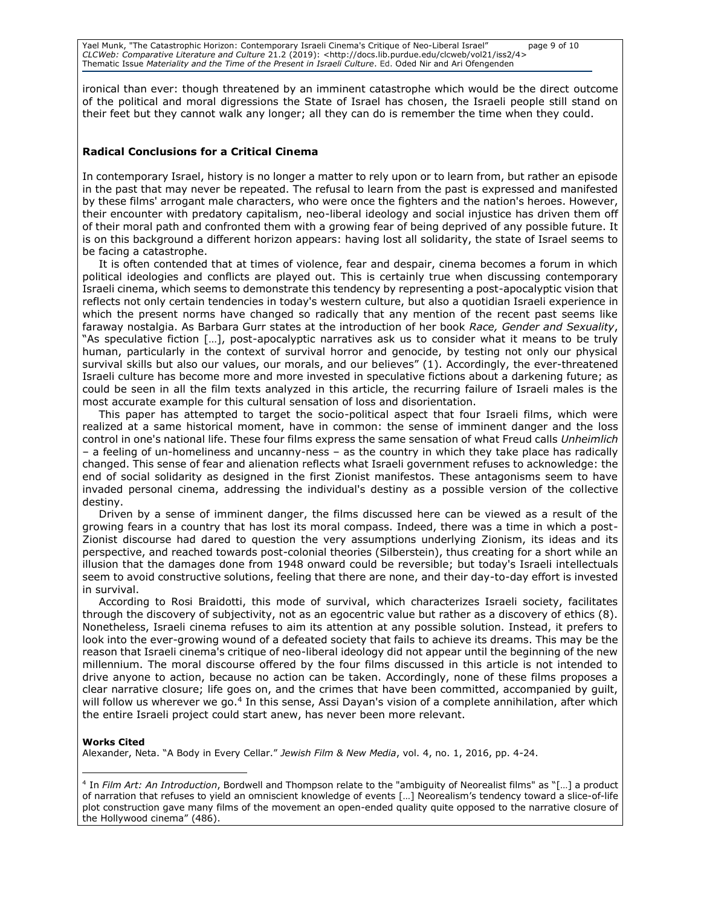Yael Munk, "The Catastrophic Horizon: Contemporary Israeli Cinema's Critique of Neo-Liberal Israel" page 9 of 10 *CLCWeb: Comparative Literature and Culture* 21.2 (2019): <http://docs.lib.purdue.edu/clcweb/vol21/iss2/4> Thematic Issue *Materiality and the Time of the Present in Israeli Culture*. Ed. Oded Nir and Ari Ofengenden

ironical than ever: though threatened by an imminent catastrophe which would be the direct outcome of the political and moral digressions the State of Israel has chosen, the Israeli people still stand on their feet but they cannot walk any longer; all they can do is remember the time when they could.

#### **Radical Conclusions for a Critical Cinema**

In contemporary Israel, history is no longer a matter to rely upon or to learn from, but rather an episode in the past that may never be repeated. The refusal to learn from the past is expressed and manifested by these films' arrogant male characters, who were once the fighters and the nation's heroes. However, their encounter with predatory capitalism, neo-liberal ideology and social injustice has driven them off of their moral path and confronted them with a growing fear of being deprived of any possible future. It is on this background a different horizon appears: having lost all solidarity, the state of Israel seems to be facing a catastrophe.

It is often contended that at times of violence, fear and despair, cinema becomes a forum in which political ideologies and conflicts are played out. This is certainly true when discussing contemporary Israeli cinema, which seems to demonstrate this tendency by representing a post-apocalyptic vision that reflects not only certain tendencies in today's western culture, but also a quotidian Israeli experience in which the present norms have changed so radically that any mention of the recent past seems like faraway nostalgia. As Barbara Gurr states at the introduction of her book *Race, Gender and Sexuality*, "As speculative fiction […], post-apocalyptic narratives ask us to consider what it means to be truly human, particularly in the context of survival horror and genocide, by testing not only our physical survival skills but also our values, our morals, and our believes" (1). Accordingly, the ever-threatened Israeli culture has become more and more invested in speculative fictions about a darkening future; as could be seen in all the film texts analyzed in this article, the recurring failure of Israeli males is the most accurate example for this cultural sensation of loss and disorientation.

This paper has attempted to target the socio-political aspect that four Israeli films, which were realized at a same historical moment, have in common: the sense of imminent danger and the loss control in one's national life. These four films express the same sensation of what Freud calls *Unheimlich* – a feeling of un-homeliness and uncanny-ness – as the country in which they take place has radically changed. This sense of fear and alienation reflects what Israeli government refuses to acknowledge: the end of social solidarity as designed in the first Zionist manifestos. These antagonisms seem to have invaded personal cinema, addressing the individual's destiny as a possible version of the collective destiny.

Driven by a sense of imminent danger, the films discussed here can be viewed as a result of the growing fears in a country that has lost its moral compass. Indeed, there was a time in which a post-Zionist discourse had dared to question the very assumptions underlying Zionism, its ideas and its perspective, and reached towards post-colonial theories (Silberstein), thus creating for a short while an illusion that the damages done from 1948 onward could be reversible; but today's Israeli intellectuals seem to avoid constructive solutions, feeling that there are none, and their day-to-day effort is invested in survival.

According to Rosi Braidotti, this mode of survival, which characterizes Israeli society, facilitates through the discovery of subjectivity, not as an egocentric value but rather as a discovery of ethics (8). Nonetheless, Israeli cinema refuses to aim its attention at any possible solution. Instead, it prefers to look into the ever-growing wound of a defeated society that fails to achieve its dreams. This may be the reason that Israeli cinema's critique of neo-liberal ideology did not appear until the beginning of the new millennium. The moral discourse offered by the four films discussed in this article is not intended to drive anyone to action, because no action can be taken. Accordingly, none of these films proposes a clear narrative closure; life goes on, and the crimes that have been committed, accompanied by guilt, will follow us wherever we go.<sup>4</sup> In this sense, Assi Dayan's vision of a complete annihilation, after which the entire Israeli project could start anew, has never been more relevant.

#### **Works Cited**

 $\overline{a}$ 

Alexander, Neta. "A Body in Every Cellar." *Jewish Film & New Media*, vol. 4, no. 1, 2016, pp. 4-24.

<sup>4</sup> In *Film Art: An Introduction*, Bordwell and Thompson relate to the "ambiguity of Neorealist films" as "[…] a product of narration that refuses to yield an omniscient knowledge of events […] Neorealism's tendency toward a slice-of-life plot construction gave many films of the movement an open-ended quality quite opposed to the narrative closure of the Hollywood cinema" (486).